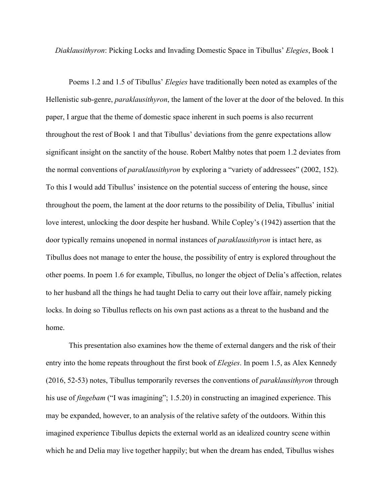*Diaklausithyron*: Picking Locks and Invading Domestic Space in Tibullus' *Elegies*, Book 1

Poems 1.2 and 1.5 of Tibullus' *Elegies* have traditionally been noted as examples of the Hellenistic sub-genre, *paraklausithyron*, the lament of the lover at the door of the beloved. In this paper, I argue that the theme of domestic space inherent in such poems is also recurrent throughout the rest of Book 1 and that Tibullus' deviations from the genre expectations allow significant insight on the sanctity of the house. Robert Maltby notes that poem 1.2 deviates from the normal conventions of *paraklausithyron* by exploring a "variety of addressees" (2002, 152). To this I would add Tibullus' insistence on the potential success of entering the house, since throughout the poem, the lament at the door returns to the possibility of Delia, Tibullus' initial love interest, unlocking the door despite her husband. While Copley's (1942) assertion that the door typically remains unopened in normal instances of *paraklausithyron* is intact here, as Tibullus does not manage to enter the house, the possibility of entry is explored throughout the other poems. In poem 1.6 for example, Tibullus, no longer the object of Delia's affection, relates to her husband all the things he had taught Delia to carry out their love affair, namely picking locks. In doing so Tibullus reflects on his own past actions as a threat to the husband and the home.

This presentation also examines how the theme of external dangers and the risk of their entry into the home repeats throughout the first book of *Elegies*. In poem 1.5, as Alex Kennedy (2016, 52-53) notes, Tibullus temporarily reverses the conventions of *paraklausithyron* through his use of *fingebam* ("I was imagining"; 1.5.20) in constructing an imagined experience. This may be expanded, however, to an analysis of the relative safety of the outdoors. Within this imagined experience Tibullus depicts the external world as an idealized country scene within which he and Delia may live together happily; but when the dream has ended, Tibullus wishes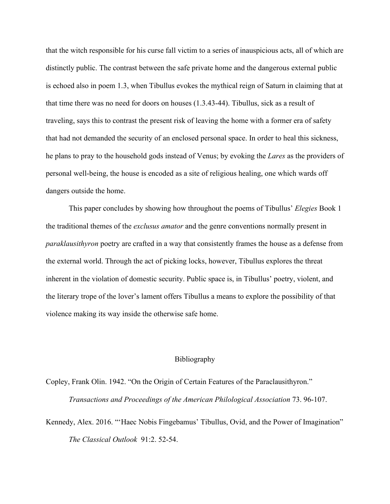that the witch responsible for his curse fall victim to a series of inauspicious acts, all of which are distinctly public. The contrast between the safe private home and the dangerous external public is echoed also in poem 1.3, when Tibullus evokes the mythical reign of Saturn in claiming that at that time there was no need for doors on houses (1.3.43-44). Tibullus, sick as a result of traveling, says this to contrast the present risk of leaving the home with a former era of safety that had not demanded the security of an enclosed personal space. In order to heal this sickness, he plans to pray to the household gods instead of Venus; by evoking the *Lares* as the providers of personal well-being, the house is encoded as a site of religious healing, one which wards off dangers outside the home.

This paper concludes by showing how throughout the poems of Tibullus' *Elegies* Book 1 the traditional themes of the *exclusus amator* and the genre conventions normally present in *paraklausithyron* poetry are crafted in a way that consistently frames the house as a defense from the external world. Through the act of picking locks, however, Tibullus explores the threat inherent in the violation of domestic security. Public space is, in Tibullus' poetry, violent, and the literary trope of the lover's lament offers Tibullus a means to explore the possibility of that violence making its way inside the otherwise safe home.

## Bibliography

Copley, Frank Olin. 1942. "On the Origin of Certain Features of the Paraclausithyron." *Transactions and Proceedings of the American Philological Association* 73. 96-107.

Kennedy, Alex. 2016. "'Haec Nobis Fingebamus' Tibullus, Ovid, and the Power of Imagination" *The Classical Outlook* 91:2. 52-54.